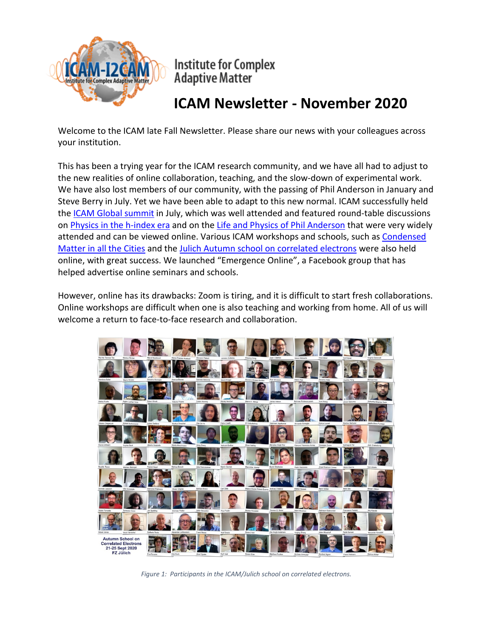

**Institute for Complex Adaptive Matter** 

# **ICAM Newsletter - November 2020**

Welcome to the ICAM late Fall Newsletter. Please share our news with your colleagues across your institution.

This has been a trying year for the ICAM research community, and we have all had to adjust to the new realities of online collaboration, teaching, and the slow-down of experimental work. We have also lost members of our community, with the passing of Phil Anderson in January and Steve Berry in July. Yet we have been able to adapt to this new normal. ICAM successfully held the ICAM [Global summit](http://icam.physics.ucdavis.edu/) in July, which was well attended and featured round-table discussions on [Physics in the h-index era](http://icam.physics.ucdavis.edu/?page_id=7) and on the [Life and Physics of Phil Anderson](http://icam.physics.ucdavis.edu/?page_id=7) that were very widely attended and can be viewed online. Various ICAM workshops and schools, such as [Condensed](https://research.kent.ac.uk/pqm/condensed-matter-physics-in-the-cities-2020/)  [Matter in all the Cities](https://research.kent.ac.uk/pqm/condensed-matter-physics-in-the-cities-2020/) and the [Julich Autumn school on correlated electrons](https://www.cond-mat.de/events/correl20/) were also held online, with great success. We launched "Emergence Online", a Facebook group that has helped advertise online seminars and schools.

However, online has its drawbacks: Zoom is tiring, and it is difficult to start fresh collaborations. Online workshops are difficult when one is also teaching and working from home. All of us will welcome a return to face-to-face research and collaboration.



*Figure 1: Participants in the ICAM/Julich school on correlated electrons.*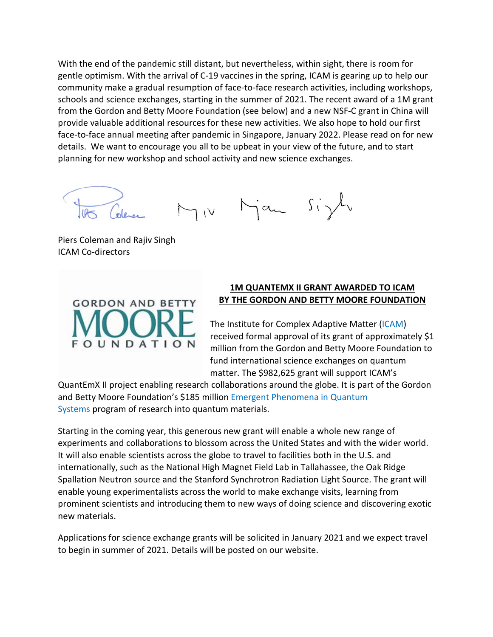With the end of the pandemic still distant, but nevertheless, within sight, there is room for gentle optimism. With the arrival of C-19 vaccines in the spring, ICAM is gearing up to help our community make a gradual resumption of face-to-face research activities, including workshops, schools and science exchanges, starting in the summer of 2021. The recent award of a 1M grant from the Gordon and Betty Moore Foundation (see below) and a new NSF-C grant in China will provide valuable additional resources for these new activities. We also hope to hold our first face-to-face annual meeting after pandemic in Singapore, January 2022. Please read on for new details. We want to encourage you all to be upbeat in your view of the future, and to start planning for new workshop and school activity and new science exchanges.

Miv Man Sizh

Piers Coleman and Rajiv Singh ICAM Co-directors



#### **1M QUANTEMX II GRANT AWARDED TO ICAM BY THE GORDON AND BETTY MOORE FOUNDATION**

The Institute for Complex Adaptive Matter [\(ICAM\)](https://www.icam-i2cam.org/) received formal approval of its grant of approximately \$1 million from the Gordon and Betty Moore Foundation to fund international science exchanges on quantum matter. The \$982,625 grant will support ICAM's

QuantEmX II project enabling research collaborations around the globe. It is part of the Gordon and Betty Moore Foundation's \$185 million Emergent [Phenomena](https://www.moore.org/initiative-strategy-detail?initiativeId=emergent-phenomena-in-quantum-systems) in Quantum [Systems](https://www.moore.org/initiative-strategy-detail?initiativeId=emergent-phenomena-in-quantum-systems) program of research into quantum materials.

Starting in the coming year, this generous new grant will enable a whole new range of experiments and collaborations to blossom across the United States and with the wider world. It will also enable scientists across the globe to travel to facilities both in the U.S. and internationally, such as the National High Magnet Field Lab in Tallahassee, the Oak Ridge Spallation Neutron source and the Stanford Synchrotron Radiation Light Source. The grant will enable young experimentalists across the world to make exchange visits, learning from prominent scientists and introducing them to new ways of doing science and discovering exotic new materials.

Applications for science exchange grants will be solicited in January 2021 and we expect travel to begin in summer of 2021. Details will be posted on our website.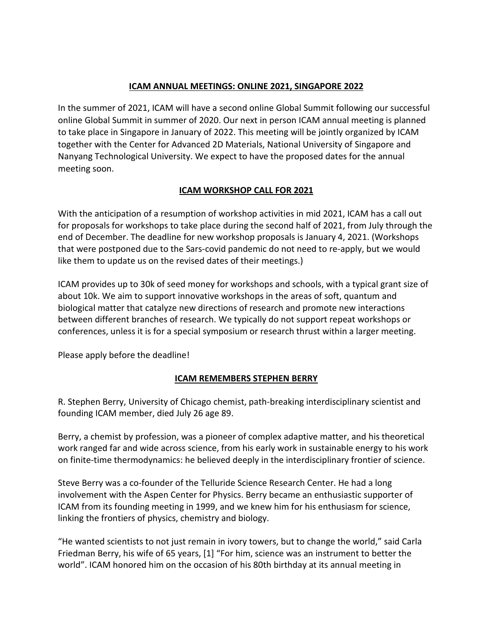### **ICAM ANNUAL MEETINGS: ONLINE 2021, SINGAPORE 2022**

In the summer of 2021, ICAM will have a second online Global Summit following our successful online Global Summit in summer of 2020. Our next in person ICAM annual meeting is planned to take place in Singapore in January of 2022. This meeting will be jointly organized by ICAM together with the Center for Advanced 2D Materials, National University of Singapore and Nanyang Technological University. We expect to have the proposed dates for the annual meeting soon.

## **ICAM WORKSHOP CALL FOR 2021**

With the anticipation of a resumption of workshop activities in mid 2021, ICAM has a call out for proposals for workshops to take place during the second half of 2021, from July through the end of December. The deadline for new workshop proposals is January 4, 2021. (Workshops that were postponed due to the Sars-covid pandemic do not need to re-apply, but we would like them to update us on the revised dates of their meetings.)

ICAM provides up to 30k of seed money for workshops and schools, with a typical grant size of about 10k. We aim to support innovative workshops in the areas of soft, quantum and biological matter that catalyze new directions of research and promote new interactions between different branches of research. We typically do not support repeat workshops or conferences, unless it is for a special symposium or research thrust within a larger meeting.

Please apply before the deadline!

#### **ICAM REMEMBERS STEPHEN BERRY**

R. Stephen Berry, University of Chicago chemist, path-breaking interdisciplinary scientist and founding ICAM member, died July 26 age 89.

Berry, a chemist by profession, was a pioneer of complex adaptive matter, and his theoretical work ranged far and wide across science, from his early work in sustainable energy to his work on finite-time thermodynamics: he believed deeply in the interdisciplinary frontier of science.

Steve Berry was a co-founder of the Telluride Science Research Center. He had a long involvement with the Aspen Center for Physics. Berry became an enthusiastic supporter of ICAM from its founding meeting in 1999, and we knew him for his enthusiasm for science, linking the frontiers of physics, chemistry and biology.

"He wanted scientists to not just remain in ivory towers, but to change the world," said Carla Friedman Berry, his wife of 65 years, [1] "For him, science was an instrument to better the world". ICAM honored him on the occasion of his 80th birthday at its annual meeting in